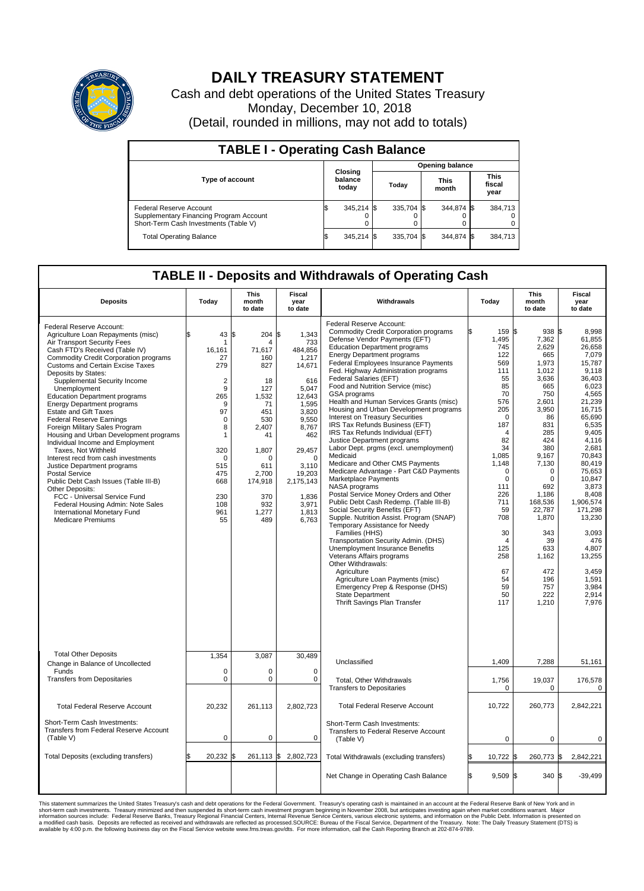

## **DAILY TREASURY STATEMENT**

Cash and debt operations of the United States Treasury Monday, December 10, 2018 (Detail, rounded in millions, may not add to totals)

| <b>TABLE I - Operating Cash Balance</b>                                                                     |     |                             |  |                        |  |                      |  |                               |  |  |  |
|-------------------------------------------------------------------------------------------------------------|-----|-----------------------------|--|------------------------|--|----------------------|--|-------------------------------|--|--|--|
|                                                                                                             |     |                             |  | <b>Opening balance</b> |  |                      |  |                               |  |  |  |
| Type of account                                                                                             |     | Closing<br>balance<br>today |  | Today                  |  | <b>This</b><br>month |  | <b>This</b><br>fiscal<br>year |  |  |  |
| Federal Reserve Account<br>Supplementary Financing Program Account<br>Short-Term Cash Investments (Table V) |     | 345,214 \$                  |  | 335.704 \$             |  | 344.874 \$           |  | 384,713                       |  |  |  |
| <b>Total Operating Balance</b>                                                                              | I\$ | 345,214 \$                  |  | 335.704 \$             |  | 344,874 \$           |  | 384,713                       |  |  |  |

## **TABLE II - Deposits and Withdrawals of Operating Cash**

| <b>Deposits</b>                                                                                                                                                                                                                                                                                                                                                                                                                                                                                                                                                                                                                                                                                                                                                                                                                                                                     | Today                                                                                                                                                                            | <b>This</b><br>month<br>to date                                                                                                                                     | Fiscal<br>year<br>to date                                                                                                                                                                                    | Withdrawals                                                                                                                                                                                                                                                                                                                                                                                                                                                                                                                                                                                                                                                                                                                                                                                                                                                                                                                                                                                                                                                                                                                                                                                                                                                                      | Today                                                                                                                                                                                                                                                        | <b>This</b><br>month<br>to date                                                                                                                                                                                                                                                        | <b>Fiscal</b><br>year<br>to date                                                                                                                                                                                                                                                                                                       |  |  |  |  |
|-------------------------------------------------------------------------------------------------------------------------------------------------------------------------------------------------------------------------------------------------------------------------------------------------------------------------------------------------------------------------------------------------------------------------------------------------------------------------------------------------------------------------------------------------------------------------------------------------------------------------------------------------------------------------------------------------------------------------------------------------------------------------------------------------------------------------------------------------------------------------------------|----------------------------------------------------------------------------------------------------------------------------------------------------------------------------------|---------------------------------------------------------------------------------------------------------------------------------------------------------------------|--------------------------------------------------------------------------------------------------------------------------------------------------------------------------------------------------------------|----------------------------------------------------------------------------------------------------------------------------------------------------------------------------------------------------------------------------------------------------------------------------------------------------------------------------------------------------------------------------------------------------------------------------------------------------------------------------------------------------------------------------------------------------------------------------------------------------------------------------------------------------------------------------------------------------------------------------------------------------------------------------------------------------------------------------------------------------------------------------------------------------------------------------------------------------------------------------------------------------------------------------------------------------------------------------------------------------------------------------------------------------------------------------------------------------------------------------------------------------------------------------------|--------------------------------------------------------------------------------------------------------------------------------------------------------------------------------------------------------------------------------------------------------------|----------------------------------------------------------------------------------------------------------------------------------------------------------------------------------------------------------------------------------------------------------------------------------------|----------------------------------------------------------------------------------------------------------------------------------------------------------------------------------------------------------------------------------------------------------------------------------------------------------------------------------------|--|--|--|--|
| Federal Reserve Account:<br>Agriculture Loan Repayments (misc)<br>Air Transport Security Fees<br>Cash FTD's Received (Table IV)<br><b>Commodity Credit Corporation programs</b><br><b>Customs and Certain Excise Taxes</b><br>Deposits by States:<br>Supplemental Security Income<br>Unemployment<br><b>Education Department programs</b><br><b>Energy Department programs</b><br><b>Estate and Gift Taxes</b><br><b>Federal Reserve Earnings</b><br>Foreign Military Sales Program<br>Housing and Urban Development programs<br>Individual Income and Employment<br>Taxes. Not Withheld<br>Interest recd from cash investments<br>Justice Department programs<br><b>Postal Service</b><br>Public Debt Cash Issues (Table III-B)<br>Other Deposits:<br>FCC - Universal Service Fund<br>Federal Housing Admin: Note Sales<br>International Monetary Fund<br><b>Medicare Premiums</b> | \$<br>43 S<br>16.161<br>27<br>279<br>$\overline{\mathbf{c}}$<br>9<br>265<br>9<br>97<br>$\Omega$<br>8<br>$\mathbf{1}$<br>320<br>0<br>515<br>475<br>668<br>230<br>108<br>961<br>55 | 204 \$<br>4<br>71.617<br>160<br>827<br>18<br>127<br>1,532<br>71<br>451<br>530<br>2,407<br>41<br>1,807<br>0<br>611<br>2.700<br>174,918<br>370<br>932<br>1,277<br>489 | 1,343<br>733<br>484.856<br>1,217<br>14,671<br>616<br>5,047<br>12,643<br>1,595<br>3,820<br>9,550<br>8,767<br>462<br>29,457<br>$\mathbf 0$<br>3,110<br>19,203<br>2,175,143<br>1,836<br>3,971<br>1,813<br>6,763 | Federal Reserve Account:<br><b>Commodity Credit Corporation programs</b><br>Defense Vendor Payments (EFT)<br><b>Education Department programs</b><br><b>Energy Department programs</b><br><b>Federal Employees Insurance Payments</b><br>Fed. Highway Administration programs<br>Federal Salaries (EFT)<br>Food and Nutrition Service (misc)<br><b>GSA</b> programs<br>Health and Human Services Grants (misc)<br>Housing and Urban Development programs<br>Interest on Treasury Securities<br>IRS Tax Refunds Business (EFT)<br>IRS Tax Refunds Individual (EFT)<br>Justice Department programs<br>Labor Dept. prgms (excl. unemployment)<br>Medicaid<br>Medicare and Other CMS Payments<br>Medicare Advantage - Part C&D Payments<br>Marketplace Payments<br>NASA programs<br>Postal Service Money Orders and Other<br>Public Debt Cash Redemp. (Table III-B)<br>Social Security Benefits (EFT)<br>Supple. Nutrition Assist. Program (SNAP)<br>Temporary Assistance for Needy<br>Families (HHS)<br>Transportation Security Admin. (DHS)<br>Unemployment Insurance Benefits<br>Veterans Affairs programs<br>Other Withdrawals:<br>Agriculture<br>Agriculture Loan Payments (misc)<br>Emergency Prep & Response (DHS)<br><b>State Department</b><br>Thrift Savings Plan Transfer | 159 \$<br>1,495<br>745<br>122<br>569<br>111<br>55<br>85<br>70<br>576<br>205<br>$\mathbf 0$<br>187<br>4<br>82<br>34<br>1,085<br>1,148<br>$\mathbf 0$<br>$\mathbf 0$<br>111<br>226<br>711<br>59<br>708<br>30<br>4<br>125<br>258<br>67<br>54<br>59<br>50<br>117 | 938<br>7,362<br>2,629<br>665<br>1,973<br>1,012<br>3.636<br>665<br>750<br>2,601<br>3,950<br>86<br>831<br>285<br>424<br>380<br>9.167<br>7,130<br>$\mathbf 0$<br>$\Omega$<br>692<br>1,186<br>168,536<br>22,787<br>1,870<br>343<br>39<br>633<br>1,162<br>472<br>196<br>757<br>222<br>1,210 | l\$<br>8.998<br>61,855<br>26,658<br>7.079<br>15,787<br>9,118<br>36.403<br>6,023<br>4.565<br>21,239<br>16,715<br>65,690<br>6,535<br>9.405<br>4,116<br>2,681<br>70.843<br>80,419<br>75,653<br>10.847<br>3,873<br>8,408<br>1,906,574<br>171.298<br>13,230<br>3.093<br>476<br>4.807<br>13,255<br>3,459<br>1,591<br>3,984<br>2,914<br>7,976 |  |  |  |  |
| <b>Total Other Deposits</b><br>Change in Balance of Uncollected                                                                                                                                                                                                                                                                                                                                                                                                                                                                                                                                                                                                                                                                                                                                                                                                                     | 1,354                                                                                                                                                                            | 3,087                                                                                                                                                               | 30,489                                                                                                                                                                                                       | Unclassified                                                                                                                                                                                                                                                                                                                                                                                                                                                                                                                                                                                                                                                                                                                                                                                                                                                                                                                                                                                                                                                                                                                                                                                                                                                                     | 1,409                                                                                                                                                                                                                                                        | 7,288                                                                                                                                                                                                                                                                                  | 51,161                                                                                                                                                                                                                                                                                                                                 |  |  |  |  |
| Funds<br><b>Transfers from Depositaries</b>                                                                                                                                                                                                                                                                                                                                                                                                                                                                                                                                                                                                                                                                                                                                                                                                                                         | 0<br>$\mathbf 0$                                                                                                                                                                 | 0<br>$\mathbf 0$                                                                                                                                                    | $\mathbf 0$<br>$\mathbf 0$                                                                                                                                                                                   | Total, Other Withdrawals<br><b>Transfers to Depositaries</b>                                                                                                                                                                                                                                                                                                                                                                                                                                                                                                                                                                                                                                                                                                                                                                                                                                                                                                                                                                                                                                                                                                                                                                                                                     | 1,756<br>0                                                                                                                                                                                                                                                   | 19,037<br>0                                                                                                                                                                                                                                                                            | 176,578<br>0                                                                                                                                                                                                                                                                                                                           |  |  |  |  |
| <b>Total Federal Reserve Account</b>                                                                                                                                                                                                                                                                                                                                                                                                                                                                                                                                                                                                                                                                                                                                                                                                                                                | 20,232                                                                                                                                                                           | 261,113                                                                                                                                                             | 2,802,723                                                                                                                                                                                                    | <b>Total Federal Reserve Account</b>                                                                                                                                                                                                                                                                                                                                                                                                                                                                                                                                                                                                                                                                                                                                                                                                                                                                                                                                                                                                                                                                                                                                                                                                                                             | 10,722                                                                                                                                                                                                                                                       | 260,773                                                                                                                                                                                                                                                                                | 2,842,221                                                                                                                                                                                                                                                                                                                              |  |  |  |  |
| Short-Term Cash Investments:<br>Transfers from Federal Reserve Account<br>(Table V)                                                                                                                                                                                                                                                                                                                                                                                                                                                                                                                                                                                                                                                                                                                                                                                                 | $\mathbf 0$                                                                                                                                                                      | $\mathbf 0$                                                                                                                                                         | $\mathbf 0$                                                                                                                                                                                                  | Short-Term Cash Investments:<br>Transfers to Federal Reserve Account<br>(Table V)                                                                                                                                                                                                                                                                                                                                                                                                                                                                                                                                                                                                                                                                                                                                                                                                                                                                                                                                                                                                                                                                                                                                                                                                | $\mathbf 0$                                                                                                                                                                                                                                                  | $\mathbf 0$                                                                                                                                                                                                                                                                            | 0                                                                                                                                                                                                                                                                                                                                      |  |  |  |  |
| Total Deposits (excluding transfers)                                                                                                                                                                                                                                                                                                                                                                                                                                                                                                                                                                                                                                                                                                                                                                                                                                                | 20,232 \$                                                                                                                                                                        |                                                                                                                                                                     | 261,113 \$ 2,802,723                                                                                                                                                                                         | Total Withdrawals (excluding transfers)                                                                                                                                                                                                                                                                                                                                                                                                                                                                                                                                                                                                                                                                                                                                                                                                                                                                                                                                                                                                                                                                                                                                                                                                                                          | 10,722                                                                                                                                                                                                                                                       | 260,773 \$<br>1\$                                                                                                                                                                                                                                                                      | 2,842,221                                                                                                                                                                                                                                                                                                                              |  |  |  |  |
|                                                                                                                                                                                                                                                                                                                                                                                                                                                                                                                                                                                                                                                                                                                                                                                                                                                                                     |                                                                                                                                                                                  |                                                                                                                                                                     |                                                                                                                                                                                                              | Net Change in Operating Cash Balance                                                                                                                                                                                                                                                                                                                                                                                                                                                                                                                                                                                                                                                                                                                                                                                                                                                                                                                                                                                                                                                                                                                                                                                                                                             | \$.<br>$9.509$ \$                                                                                                                                                                                                                                            | 340S                                                                                                                                                                                                                                                                                   | $-39.499$                                                                                                                                                                                                                                                                                                                              |  |  |  |  |

This statement summarizes the United States Treasury's cash and debt operations for the Federal Government. Treasury's operating in November 2008, but anticingates investment summarket conditions warrant. Major<br>short-term